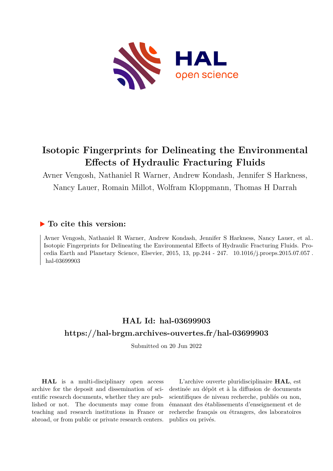

# **Isotopic Fingerprints for Delineating the Environmental Effects of Hydraulic Fracturing Fluids**

Avner Vengosh, Nathaniel R Warner, Andrew Kondash, Jennifer S Harkness, Nancy Lauer, Romain Millot, Wolfram Kloppmann, Thomas H Darrah

## **To cite this version:**

Avner Vengosh, Nathaniel R Warner, Andrew Kondash, Jennifer S Harkness, Nancy Lauer, et al.. Isotopic Fingerprints for Delineating the Environmental Effects of Hydraulic Fracturing Fluids. Procedia Earth and Planetary Science, Elsevier, 2015, 13, pp.244 - 247. 10.1016/j.proeps.2015.07.057. hal-03699903

# **HAL Id: hal-03699903 <https://hal-brgm.archives-ouvertes.fr/hal-03699903>**

Submitted on 20 Jun 2022

**HAL** is a multi-disciplinary open access archive for the deposit and dissemination of scientific research documents, whether they are published or not. The documents may come from teaching and research institutions in France or abroad, or from public or private research centers.

L'archive ouverte pluridisciplinaire **HAL**, est destinée au dépôt et à la diffusion de documents scientifiques de niveau recherche, publiés ou non, émanant des établissements d'enseignement et de recherche français ou étrangers, des laboratoires publics ou privés.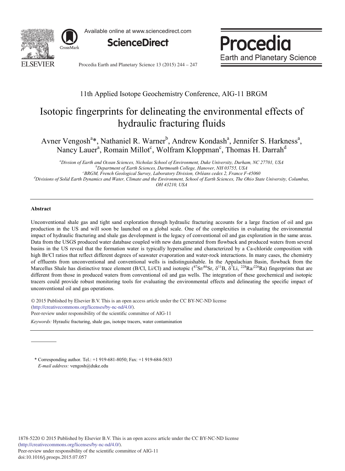

Available online at www.sciencedirect.com



Procedia **Earth and Planetary Science** 

Procedia Earth and Planetary Science 13 (2015) 244 - 247

### 11th Applied Isotope Geochemistry Conference, AIG-11 BRGM

## Isotopic fingerprints for delineating the environmental effects of hydraulic fracturing fluids

Avner Vengosh<sup>a\*</sup>, Nathaniel R. Warner<sup>b</sup>, Andrew Kondash<sup>a</sup>, Jennifer S. Harkness<sup>a</sup>, Nancy Lauer<sup>a</sup>, Romain Millot<sup>c</sup>, Wolfram Kloppman<sup>c</sup>, Thomas H. Darrah<sup>d</sup>

*a Divsion of Earth and Ocean Sciences, Nicholas School of Environment, Duke University, Durham, NC 27701, USA b Department of Earth Sciences, Dartmouth College, Hanover, NH 03755, USA*

*c BRGM, French Geological Survey, Laboratory Division, Orléans cedex 2, France F-45060*

*d Divisions of Solid Earth Dynamics and Water, Climate and the Environment, School of Earth Sciences, The Ohio State University, Columbus,* 

*OH 43210, USA*

#### **Abstract**

Unconventional shale gas and tight sand exploration through hydraulic fracturing accounts for a large fraction of oil and gas production in the US and will soon be launched on a global scale. One of the complexities in evaluating the environmental impact of hydraulic fracturing and shale gas development is the legacy of conventional oil and gas exploration in the same areas. Data from the USGS produced water database coupled with new data generated from flowback and produced waters from several basins in the US reveal that the formation water is typically hypersaline and characterized by a Ca-chloride composition with high Br/Cl ratios that reflect different degrees of seawater evaporation and water-rock interactions. In many cases, the chemistry of effluents from unconventional and conventional wells is indistinguishable. In the Appalachian Basin, flowback from the Marcellus Shale has distinctive trace element (B/Cl, Li/Cl) and isotopic ( ${}^{87}Sr/{}^{86}Sr$ ,  $\delta^{11}B$ ,  $\delta^{7}Li$ ,  ${}^{228}Ra/{}^{226}Ra$ ) fingerprints that are different from those in produced waters from conventional oil and gas wells. The integration of these geochemical and isotopic tracers could provide robust monitoring tools for evaluating the environmental effects and delineating the specific impact of unconventional oil and gas operations.

© 2015 Published by Elsevier B.V. This is an open access article under the CC BY-NC-ND license (http://creativecommons.org/licenses/by-nc-nd/4.0/). Peer-review under responsibility of the scientific committee of AIG-11

*Keywords:* Hyraulic fracturing, shale gas, isotope tracers, water contamination

\* Corresponding author. Tel.: +1 919-681-8050; Fax: +1 919-684-5833 *E-mail address:* vengosh@duke.edu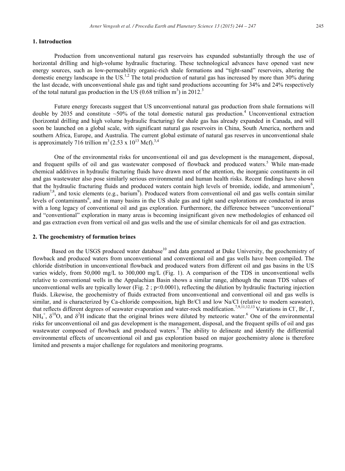### **1. Introduction**

Production from unconventional natural gas reservoirs has expanded substantially through the use of horizontal drilling and high-volume hydraulic fracturing. These technological advances have opened vast new energy sources, such as low-permeability organic-rich shale formations and "tight-sand" reservoirs, altering the domestic energy landscape in the US.<sup>1,2</sup> The total production of natural gas has increased by more than 30% during the last decade, with unconventional shale gas and tight sand productions accounting for 34% and 24% respectively of the total natural gas production in the US  $(0.68 \text{ trillion m}^3)$  in 2012.<sup>3</sup>

Future energy forecasts suggest that US unconventional natural gas production from shale formations will double by 2035 and constitute  $~50\%$  of the total domestic natural gas production.<sup>4</sup> Unconventional extraction (horizontal drilling and high volume hydraulic fracturing) for shale gas has already expanded in Canada, and will soon be launched on a global scale, with significant natural gas reservoirs in China, South America, northern and southern Africa, Europe, and Australia. The current global estimate of natural gas reserves in unconventional shale is approximately 716 trillion  $m^3$  (2.53 x 10<sup>13</sup> Mcf).<sup>3,4</sup>

One of the environmental risks for unconventional oil and gas development is the management, disposal, and frequent spills of oil and gas wastewater composed of flowback and produced waters. <sup>5</sup> While man-made chemical additives in hydraulic fracturing fluids have drawn most of the attention, the inorganic constituents in oil and gas wastewater also pose similarly serious environmental and human health risks. Recent findings have shown that the hydraulic fracturing fluids and produced waters contain high levels of bromide, iodide, and ammonium<sup>6</sup>, radium<sup>7,8</sup>, and toxic elements (e.g., barium<sup>9</sup>). Produced waters from conventional oil and gas wells contain similar levels of contaminants<sup>6</sup>, and in many basins in the US shale gas and tight sand explorations are conducted in areas with a long legacy of conventional oil and gas exploration. Furthermore, the difference between "unconventional" and "conventional" exploration in many areas is becoming insignificant given new methodologies of enhanced oil and gas extraction even from vertical oil and gas wells and the use of similar chemicals for oil and gas extraction.

#### **2. The geochemistry of formation brines**

Based on the USGS produced water database<sup>10</sup> and data generated at Duke University, the geochemistry of flowback and produced waters from unconventional and conventional oil and gas wells have been compiled. The chloride distribution in unconventional flowback and produced waters from different oil and gas basins in the US varies widely, from 50,000 mg/L to 300,000 mg/L (Fig. 1). A comparison of the TDS in unconventional wells relative to conventional wells in the Appalachian Basin shows a similar range, although the mean TDS values of unconventional wells are typically lower (Fig.  $2$ ;  $p<0.0001$ ), reflecting the dilution by hydraulic fracturing injection fluids. Likewise, the geochemistry of fluids extracted from unconventional and conventional oil and gas wells is similar, and is characterized by Ca-chloride composition, high Br/Cl and low Na/Cl (relative to modern seawater), that reflects different degrees of seawater evaporation and water-rock modification.<sup>7,9,11,12,13</sup> Variations in Cl, Br, I,  $NH_4^+$ ,  $\delta^{18}O$ , and  $\delta^2H$  indicate that the original brines were diluted by meteoric water.<sup>6</sup> One of the environmental risks for unconventional oil and gas development is the management, disposal, and the frequent spills of oil and gas wastewater composed of flowback and produced waters.<sup>5</sup> The ability to delineate and identify the differential environmental effects of unconventional oil and gas exploration based on major geochemistry alone is therefore limited and presents a major challenge for regulators and monitoring programs.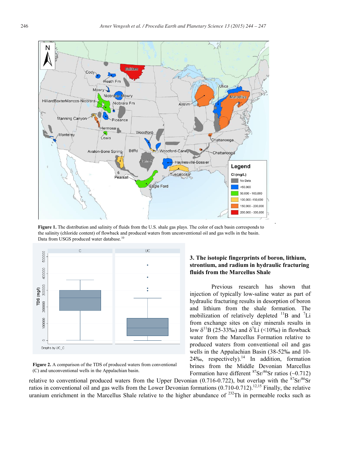

**Figure 1.** The distribution and salinity of fluids from the U.S. shale gas plays. The color of each basin corresponds to the salinity (chloride content) of flowback and produced waters from unconventional oil and gas wells in the basin. Data from USGS produced water database.<sup>1</sup>



**Figure 2.** A comparison of the TDS of produced waters from conventional (C) and unconventional wells in the Appalachian basin.

### **3. The isotopic fingerprints of boron, lithium, strontium, and radium in hydraulic fracturing fluids from the Marcellus Shale**

Previous research has shown that injection of typically low-saline water as part of hydraulic fracturing results in desorption of boron and lithium from the shale formation. The mobilization of relatively depleted  $\mathrm{^{11}B}$  and  $\mathrm{^{7}Li}$ from exchange sites on clay minerals results in low  $\delta^{11}B$  (25-33‰) and  $\delta^{7}Li$  (<10‰) in flowback water from the Marcellus Formation relative to produced waters from conventional oil and gas wells in the Appalachian Basin (38-52‰ and 10-  $24\%$ , respectively).<sup>14</sup> In addition, formation brines from the Middle Devonian Marcellus Formation have different  $87\text{Sr}/86\text{Sr}$  ratios (~0.712)

relative to conventional produced waters from the Upper Devonian (0.716-0.722), but overlap with the  ${}^{87}Sr/{}^{86}Sr$ ratios in conventional oil and gas wells from the Lower Devonian formations  $(0.710-0.712)$ .<sup>12,15</sup> Finally, the relative uranium enrichment in the Marcellus Shale relative to the higher abundance of <sup>232</sup>Th in permeable rocks such as